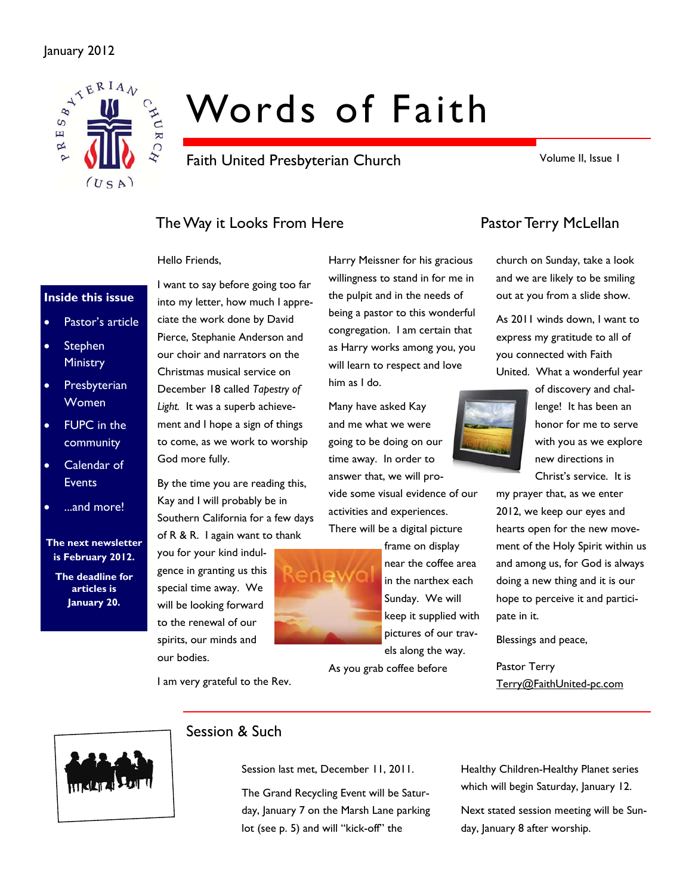

# Words of Faith

Faith United Presbyterian Church

Volume II, Issue 1

## The Way it Looks From Here **Pastor Terry McLellan**

#### Hello Friends,

#### **Inside this issue**

- Pastor's article
- **Stephen Ministry**
- **Presbyterian** Women
- FUPC in the community
- Calendar of **Events**
- ...and more!

#### **The next newsletter is February 2012.**

**The deadline for articles is January 20.** 

into my letter, how much I appreciate the work done by David Pierce, Stephanie Anderson and our choir and narrators on the Christmas musical service on December 18 called *Tapestry of*  Light. It was a superb achievement and I hope a sign of things to come, as we work to worship God more fully.

I want to say before going too far

By the time you are reading this, Kay and I will probably be in Southern California for a few days of R & R. I again want to thank

you for your kind indulgence in granting us this special time away. We will be looking forward to the renewal of our spirits, our minds and our bodies.

I am very grateful to the Rev.

Harry Meissner for his gracious willingness to stand in for me in the pulpit and in the needs of being a pastor to this wonderful congregation. I am certain that as Harry works among you, you will learn to respect and love him as I do.

Many have asked Kay and me what we were going to be doing on our time away. In order to answer that, we will provide some visual evidence of our

activities and experiences. There will be a digital picture



frame on display near the coffee area in the narthex each Sunday. We will keep it supplied with pictures of our travels along the way.

As you grab coffee before

church on Sunday, take a look and we are likely to be smiling out at you from a slide show.

As 2011 winds down, I want to express my gratitude to all of you connected with Faith United. What a wonderful year

of discovery and challenge! It has been an honor for me to serve with you as we explore new directions in

Christ's service. It is

my prayer that, as we enter 2012, we keep our eyes and hearts open for the new movement of the Holy Spirit within us and among us, for God is always doing a new thing and it is our hope to perceive it and participate in it.

Blessings and peace,

Pastor Terry Terry@FaithUnited-pc.com



#### Session & Such

Session last met, December 11, 2011.

The Grand Recycling Event will be Saturday, January 7 on the Marsh Lane parking lot (see p. 5) and will "kick-off" the

Healthy Children-Healthy Planet series which will begin Saturday, January 12.

Next stated session meeting will be Sunday, January 8 after worship.

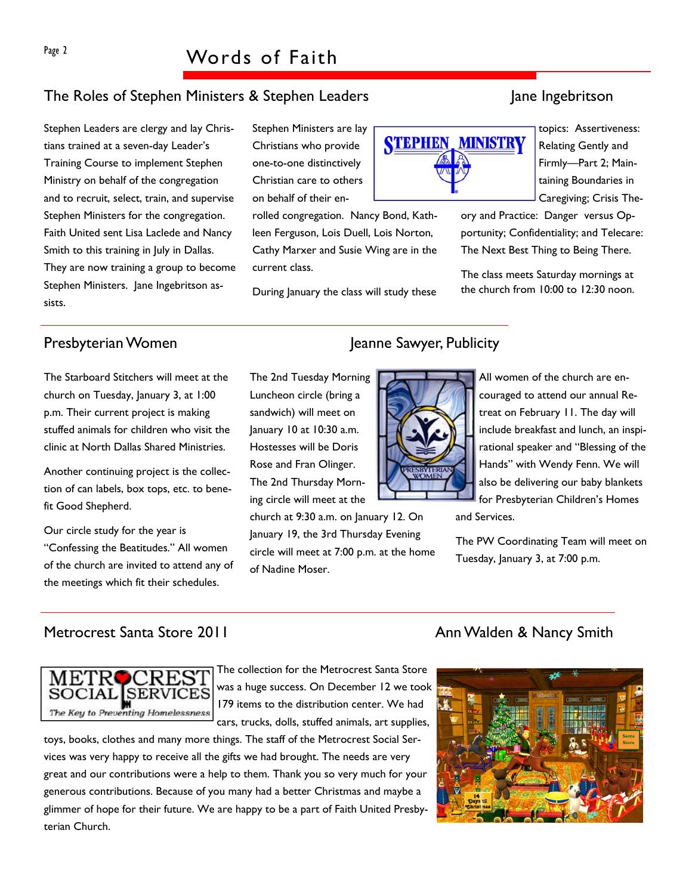## The Roles of Stephen Ministers & Stephen Leaders Jane Ingebritson

Stephen Leaders are clergy and lay Christians trained at a seven-day Leader's Training Course to implement Stephen Ministry on behalf of the congregation and to recruit, select, train, and supervise Stephen Ministers for the congregation. Faith United sent Lisa Laclede and Nancy Smith to this training in July in Dallas. They are now training a group to become Stephen Ministers. Jane Ingebritson assists.

Stephen Ministers are lay Christians who provide one-to-one distinctively Christian care to others on behalf of their en-

Luncheon circle (bring a sandwich) will meet on January 10 at 10:30 a.m. Hostesses will be Doris Rose and Fran Olinger. The 2nd Thursday Morning circle will meet at the

of Nadine Moser.

rolled congregation. Nancy Bond, Kathleen Ferguson, Lois Duell, Lois Norton, Cathy Marxer and Susie Wing are in the current class.

During January the class will study these

# **STEPHEN, MINISTRY**

taining Boundaries in Caregiving; Crisis Theory and Practice: Danger versus Opportunity; Confidentiality; and Telecare:

The class meets Saturday mornings at the church from 10:00 to 12:30 noon.

The Next Best Thing to Being There.

The Starboard Stitchers will meet at the church on Tuesday, January 3, at 1:00 p.m. Their current project is making stuffed animals for children who visit the clinic at North Dallas Shared Ministries.

Another continuing project is the collection of can labels, box tops, etc. to benefit Good Shepherd.

Our circle study for the year is "Confessing the Beatitudes." All women of the church are invited to attend any of the meetings which fit their schedules.

## Presbyterian Women Jeanne Sawyer, Publicity



All women of the church are encouraged to attend our annual Retreat on February 11. The day will include breakfast and lunch, an inspirational speaker and "Blessing of the Hands" with Wendy Fenn. We will also be delivering our baby blankets for Presbyterian Children's Homes

and Services.

The PW Coordinating Team will meet on Tuesday, January 3, at 7:00 p.m.



The collection for the Metrocrest Santa Store was a huge success. On December 12 we took 179 items to the distribution center. We had cars, trucks, dolls, stuffed animals, art supplies,

church at 9:30 a.m. on January 12. On January 19, the 3rd Thursday Evening circle will meet at 7:00 p.m. at the home

toys, books, clothes and many more things. The staff of the Metrocrest Social Services was very happy to receive all the gifts we had brought. The needs are very great and our contributions were a help to them. Thank you so very much for your generous contributions. Because of you many had a better Christmas and maybe a glimmer of hope for their future. We are happy to be a part of Faith United Presbyterian Church.

#### Metrocrest Santa Store 2011 Ann Walden & Nancy Smith



topics: Assertiveness: Relating Gently and Firmly—Part 2; Main-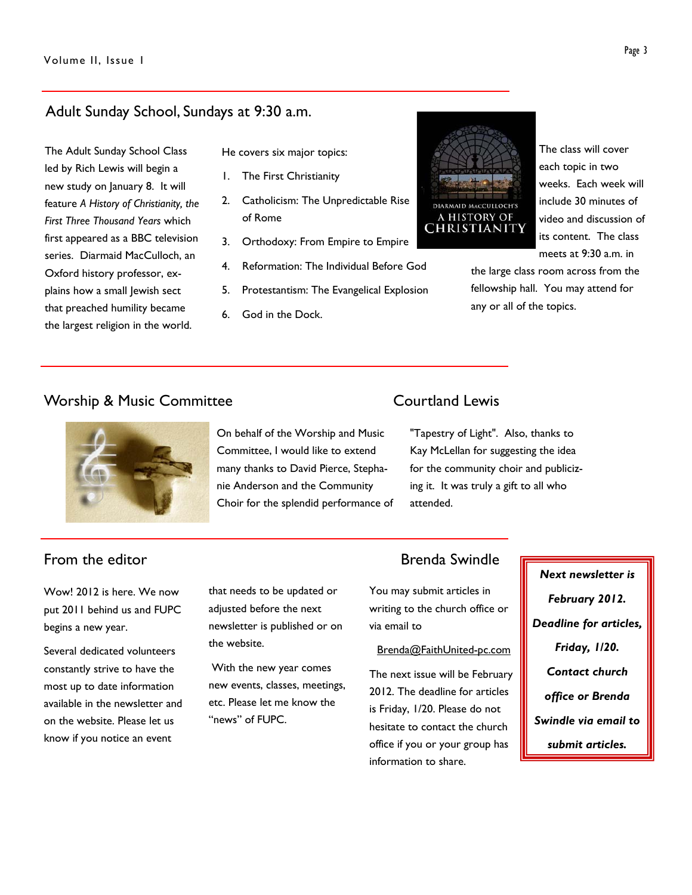#### Adult Sunday School, Sundays at 9:30 a.m.

The Adult Sunday School Class led by Rich Lewis will begin a new study on January 8. It will feature *A History of Christianity, the First Three Thousand Years* which first appeared as a BBC television series. Diarmaid MacCulloch, an Oxford history professor, explains how a small Jewish sect that preached humility became the largest religion in the world.

He covers six major topics:

- 1. The First Christianity
- 2. Catholicism: The Unpredictable Rise of Rome
- 3. Orthodoxy: From Empire to Empire
- 4. Reformation: The Individual Before God
- 5. Protestantism: The Evangelical Explosion
- 6. God in the Dock.



The class will cover each topic in two weeks. Each week will include 30 minutes of video and discussion of its content. The class meets at 9:30 a.m. in

the large class room across from the fellowship hall. You may attend for any or all of the topics.

#### Worship & Music Committee **Courtland Lewis**



#### On behalf of the Worship and Music Committee, I would like to extend many thanks to David Pierce, Stephanie Anderson and the Community Choir for the splendid performance of

"Tapestry of Light". Also, thanks to Kay McLellan for suggesting the idea for the community choir and publicizing it. It was truly a gift to all who attended.

Wow! 2012 is here. We now put 2011 behind us and FUPC begins a new year.

Several dedicated volunteers constantly strive to have the most up to date information available in the newsletter and on the website. Please let us know if you notice an event

that needs to be updated or adjusted before the next newsletter is published or on the website.

 With the new year comes new events, classes, meetings, etc. Please let me know the "news" of FUPC.

#### From the editor **Brenda** Swindle

You may submit articles in writing to the church office or via email to

#### Brenda@FaithUnited-pc.com

The next issue will be February 2012. The deadline for articles is Friday, 1/20. Please do not hesitate to contact the church office if you or your group has information to share.

*Next newsletter is February 2012. Deadline for articles, Friday, 1/20. Contact church office or Brenda Swindle via email to submit articles.*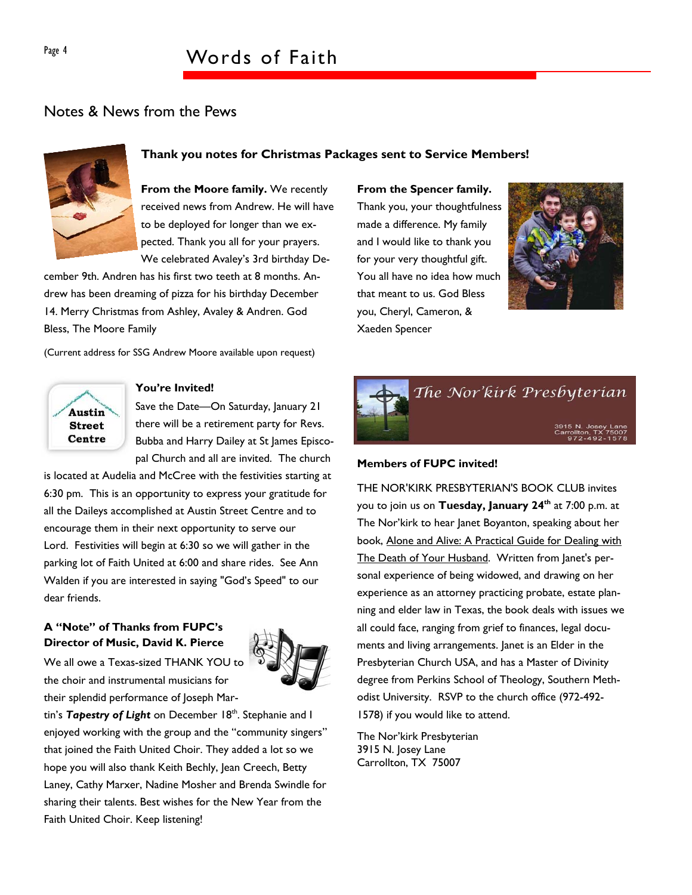### Notes & News from the Pews



#### **Thank you notes for Christmas Packages sent to Service Members!**

**From the Moore family.** We recently received news from Andrew. He will have to be deployed for longer than we expected. Thank you all for your prayers. We celebrated Avaley's 3rd birthday De-

cember 9th. Andren has his first two teeth at 8 months. Andrew has been dreaming of pizza for his birthday December 14. Merry Christmas from Ashley, Avaley & Andren. God Bless, The Moore Family

(Current address for SSG Andrew Moore available upon request)



#### **You're Invited!**

Save the Date-On Saturday, January 21 there will be a retirement party for Revs. Bubba and Harry Dailey at St James Episcopal Church and all are invited. The church

is located at Audelia and McCree with the festivities starting at 6:30 pm. This is an opportunity to express your gratitude for all the Daileys accomplished at Austin Street Centre and to encourage them in their next opportunity to serve our Lord. Festivities will begin at 6:30 so we will gather in the parking lot of Faith United at 6:00 and share rides. See Ann Walden if you are interested in saying "God's Speed" to our dear friends.

#### **A "Note" of Thanks from FUPC's Director of Music, David K. Pierce**

We all owe a Texas-sized THANK YOU to the choir and instrumental musicians for their splendid performance of Joseph Mar-



tin's Tapestry of Light on December 18<sup>th</sup>. Stephanie and I enjoyed working with the group and the "community singers" that joined the Faith United Choir. They added a lot so we hope you will also thank Keith Bechly, Jean Creech, Betty Laney, Cathy Marxer, Nadine Mosher and Brenda Swindle for sharing their talents. Best wishes for the New Year from the Faith United Choir. Keep listening!

#### **From the Spencer family.**

Thank you, your thoughtfulness made a difference. My family and I would like to thank you for your very thoughtful gift. You all have no idea how much that meant to us. God Bless you, Cheryl, Cameron, & Xaeden Spencer





#### **Members of FUPC invited!**

THE NOR'KIRK PRESBYTERIAN'S BOOK CLUB invites you to join us on **Tuesday, January 24th** at 7:00 p.m. at The Nor'kirk to hear Janet Boyanton, speaking about her book, Alone and Alive: A Practical Guide for Dealing with The Death of Your Husband. Written from Janet's personal experience of being widowed, and drawing on her experience as an attorney practicing probate, estate planning and elder law in Texas, the book deals with issues we all could face, ranging from grief to finances, legal documents and living arrangements. Janet is an Elder in the Presbyterian Church USA, and has a Master of Divinity degree from Perkins School of Theology, Southern Methodist University. RSVP to the church office (972-492- 1578) if you would like to attend.

The Nor'kirk Presbyterian 3915 N. Josey Lane Carrollton, TX 75007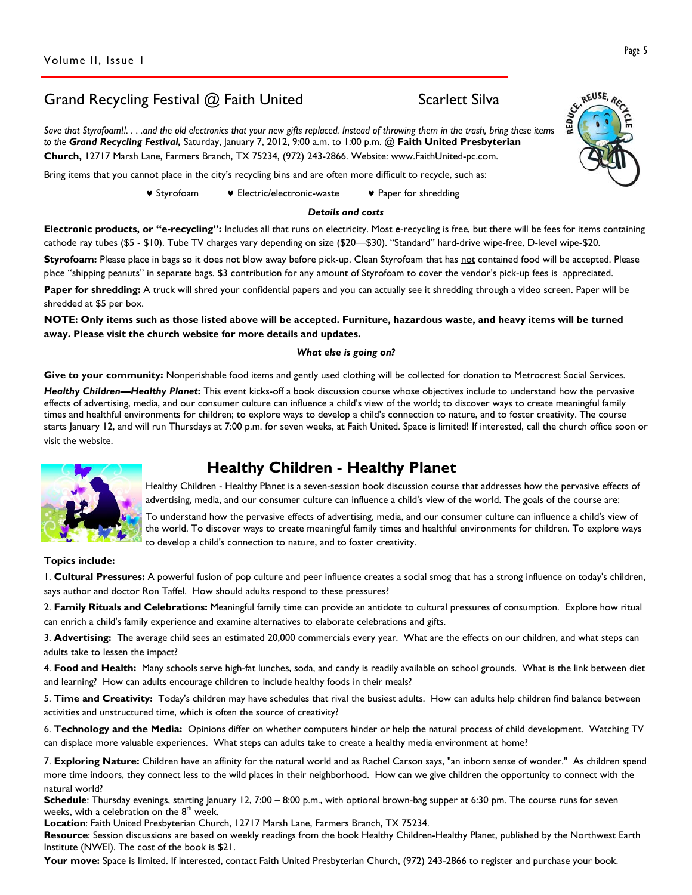## Grand Recycling Festival @ Faith United Scarlett Silva

*Save that Styrofoam!!. . . .and the old electronics that your new gifts replaced. Instead of throwing them in the trash, bring these items to the Grand Recycling Festival,* Saturday, January 7, 2012, 9:00 a.m. to 1:00 p.m. @ **Faith United Presbyterian Church,** 12717 Marsh Lane, Farmers Branch, TX 75234, (972) 243-2866. Website: www.FaithUnited-pc.com.

Bring items that you cannot place in the city's recycling bins and are often more difficult to recycle, such as:

♥ Styrofoam ♥ Electric/electronic-waste ♥ Paper for shredding

#### *Details and costs*

**Electronic products, or "e-recycling":** Includes all that runs on electricity. Most *e*-recycling is free, but there will be fees for items containing cathode ray tubes (\$5 - \$10). Tube TV charges vary depending on size (\$20—\$30). "Standard" hard-drive wipe-free, D-level wipe-\$20.

Styrofoam: Please place in bags so it does not blow away before pick-up. Clean Styrofoam that has not contained food will be accepted. Please place "shipping peanuts" in separate bags. \$3 contribution for any amount of Styrofoam to cover the vendor's pick-up fees is appreciated.

**Paper for shredding:** A truck will shred your confidential papers and you can actually see it shredding through a video screen. Paper will be shredded at \$5 per box.

**NOTE: Only items such as those listed above will be accepted. Furniture, hazardous waste, and heavy items will be turned away. Please visit the church website for more details and updates.** 

#### *What else is going on?*

Give to your community: Nonperishable food items and gently used clothing will be collected for donation to Metrocrest Social Services.

*Healthy Children—Healthy Planet***:** This event kicks-off a book discussion course whose objectives include to understand how the pervasive effects of advertising, media, and our consumer culture can influence a child's view of the world; to discover ways to create meaningful family times and healthful environments for children; to explore ways to develop a child's connection to nature, and to foster creativity. The course starts January 12, and will run Thursdays at 7:00 p.m. for seven weeks, at Faith United. Space is limited! If interested, call the church office soon or visit the website.

## **Healthy Children - Healthy Planet**



Healthy Children - Healthy Planet is a seven-session book discussion course that addresses how the pervasive effects of advertising, media, and our consumer culture can influence a child's view of the world. The goals of the course are:

To understand how the pervasive effects of advertising, media, and our consumer culture can influence a child's view of the world. To discover ways to create meaningful family times and healthful environments for children. To explore ways to develop a child's connection to nature, and to foster creativity.

**Topics include:** 

1. **Cultural Pressures:** A powerful fusion of pop culture and peer influence creates a social smog that has a strong influence on today's children, says author and doctor Ron Taffel. How should adults respond to these pressures?

2. **Family Rituals and Celebrations:** Meaningful family time can provide an antidote to cultural pressures of consumption. Explore how ritual can enrich a child's family experience and examine alternatives to elaborate celebrations and gifts.

3. **Advertising:** The average child sees an estimated 20,000 commercials every year. What are the effects on our children, and what steps can adults take to lessen the impact?

4. **Food and Health:** Many schools serve high-fat lunches, soda, and candy is readily available on school grounds. What is the link between diet and learning? How can adults encourage children to include healthy foods in their meals?

5. **Time and Creativity:** Today's children may have schedules that rival the busiest adults. How can adults help children find balance between activities and unstructured time, which is often the source of creativity?

6. **Technology and the Media:** Opinions differ on whether computers hinder or help the natural process of child development. Watching TV can displace more valuable experiences. What steps can adults take to create a healthy media environment at home?

7. **Exploring Nature:** Children have an affinity for the natural world and as Rachel Carson says, "an inborn sense of wonder." As children spend more time indoors, they connect less to the wild places in their neighborhood. How can we give children the opportunity to connect with the natural world?

**Schedule**: Thursday evenings, starting January 12, 7:00 – 8:00 p.m., with optional brown-bag supper at 6:30 pm. The course runs for seven weeks, with a celebration on the  $8<sup>th</sup>$  week.

**Location**: Faith United Presbyterian Church, 12717 Marsh Lane, Farmers Branch, TX 75234.

**Resource**: Session discussions are based on weekly readings from the book Healthy Children-Healthy Planet, published by the Northwest Earth Institute (NWEI). The cost of the book is \$21.

**Your move:** Space is limited. If interested, contact Faith United Presbyterian Church, (972) 243-2866 to register and purchase your book.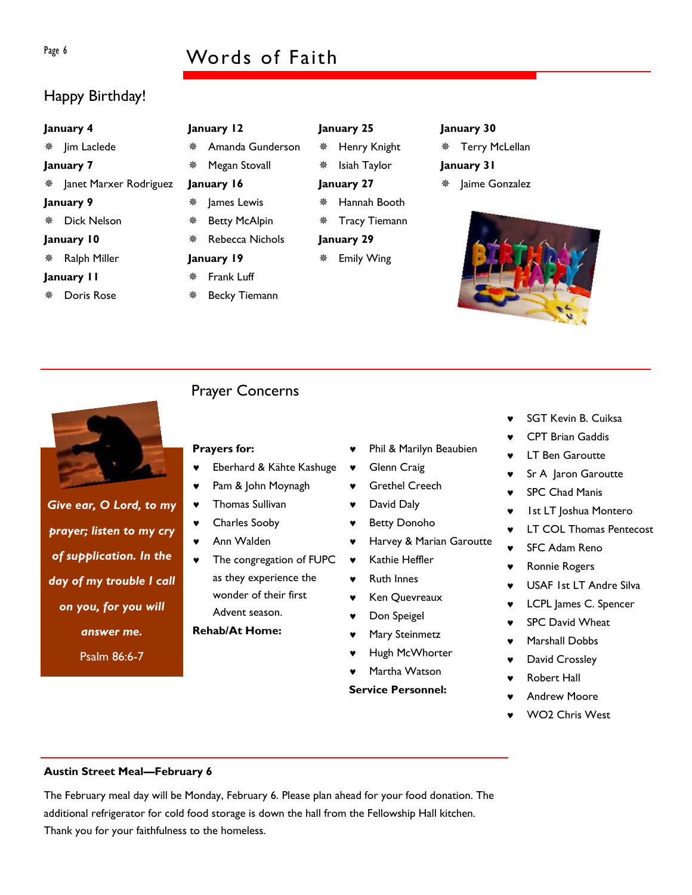## Page 6 Words of Faith

## Happy Birthday!

| January 4   |                          |  |  |  |  |  |  |
|-------------|--------------------------|--|--|--|--|--|--|
|             | ※ Jim Laclede            |  |  |  |  |  |  |
| January 7   |                          |  |  |  |  |  |  |
|             | * Janet Marxer Rodriguez |  |  |  |  |  |  |
| January 9   |                          |  |  |  |  |  |  |
|             | ※ Dick Nelson            |  |  |  |  |  |  |
| January 10  |                          |  |  |  |  |  |  |
|             | ※ Ralph Miller           |  |  |  |  |  |  |
| January I I |                          |  |  |  |  |  |  |
|             | ※ Doris Rose             |  |  |  |  |  |  |

| January 12 |                                    |  |  |  |  |  |
|------------|------------------------------------|--|--|--|--|--|
|            | * Amanda Gunderson                 |  |  |  |  |  |
|            | <i></i> <del>≢</del> Megan Stovall |  |  |  |  |  |
| January 16 |                                    |  |  |  |  |  |
|            | ※ James Lewis                      |  |  |  |  |  |
|            | <b>※</b> Betty McAlpin             |  |  |  |  |  |
|            | ※ Rebecca Nichols                  |  |  |  |  |  |
| January 19 |                                    |  |  |  |  |  |

**January 25** 

**January 27** 

**January 29** 

 Henry Knight Isiah Taylor

 Hannah Booth Tracy Tiemann

Emily Wing

 Terry McLellan **January 31** 

**January 30** 

Jaime Gonzalez





*Give ear, O Lord, to my prayer; listen to my cry of supplication. In the day of my trouble I call on you, for you will answer me.*  Psalm 86:6-7

## Prayer Concerns

 Frank Luff Becky Tiemann

#### **Prayers for:**

- Eberhard & Kähte Kashuge
- ♥ Pam & John Moynagh
- ♥ Thomas Sullivan
- ♥ Charles Sooby
- ♥ Ann Walden
- The congregation of FUPC as they experience the wonder of their first Advent season.

#### **Rehab/At Home:**

- Phil & Marilyn Beaubien
- **Glenn Craig**
- ♥ Grethel Creech
- ♥ David Daly
- ♥ Betty Donoho
- ♥ Harvey & Marian Garoutte
- ♥ Kathie Heffler
- ♥ Ruth Innes
- Ken Quevreaux
- ♥ Don Speigel
- Mary Steinmetz
- Hugh McWhorter
- Martha Watson
- **Service Personnel:**
- SGT Kevin B. Cuiksa
- CPT Brian Gaddis
- **LT Ben Garoutte**
- Sr A Jaron Garoutte
- SPC Chad Manis
- ♥ 1st LT Joshua Montero
- ♥ LT COL Thomas Pentecost
- **SFC Adam Reno**
- ♥ Ronnie Rogers
- USAF 1st LT Andre Silva
- ♥ LCPL James C. Spencer
- SPC David Wheat
- Marshall Dobbs
- David Crossley
- **Robert Hall**
- **Andrew Moore**
- WO<sub>2</sub> Chris West

#### **Austin Street Meal—February 6**

The February meal day will be Monday, February 6. Please plan ahead for your food donation. The additional refrigerator for cold food storage is down the hall from the Fellowship Hall kitchen. Thank you for your faithfulness to the homeless.

- 
- 
- 
- 
- 
-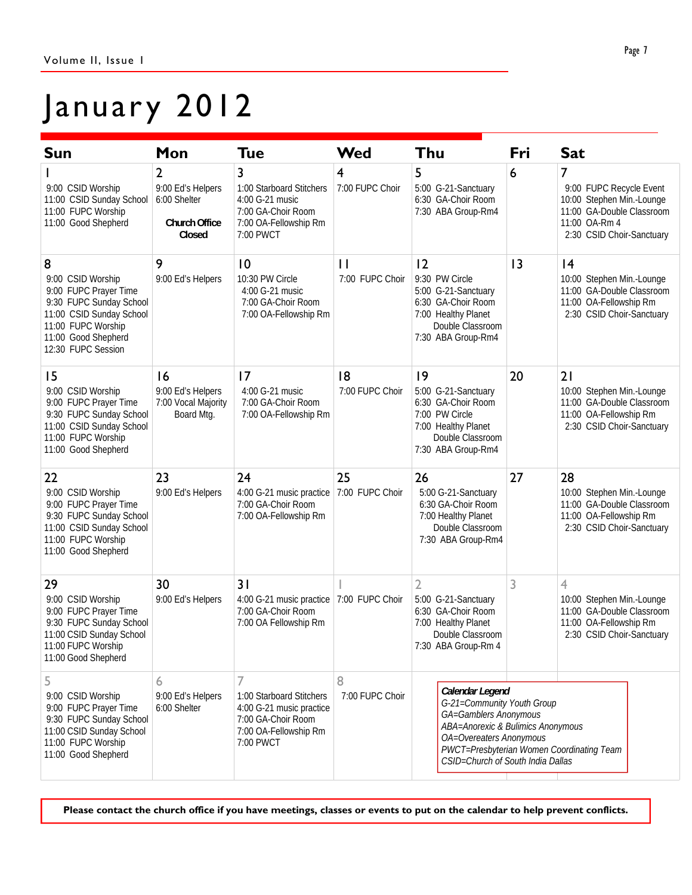## January 2012

| <b>Sun</b>                                                                                                                                                                | Mon                                                               | <b>Tue</b>                                                                                                                         | Wed                             | Thu                                                                                                                                                                                                                      | Fri | <b>Sat</b>                                                                                                                           |
|---------------------------------------------------------------------------------------------------------------------------------------------------------------------------|-------------------------------------------------------------------|------------------------------------------------------------------------------------------------------------------------------------|---------------------------------|--------------------------------------------------------------------------------------------------------------------------------------------------------------------------------------------------------------------------|-----|--------------------------------------------------------------------------------------------------------------------------------------|
| 9:00 CSID Worship<br>11:00 CSID Sunday School<br>11:00 FUPC Worship<br>11:00 Good Shepherd                                                                                | 2<br>9:00 Ed's Helpers<br>6:00 Shelter<br>Church Office<br>Closed | 3<br>1:00 Starboard Stitchers<br>4:00 G-21 music<br>7:00 GA-Choir Room<br>7:00 OA-Fellowship Rm<br>7:00 PWCT                       | 4<br>7:00 FUPC Choir            | 5<br>5:00 G-21-Sanctuary<br>6:30 GA-Choir Room<br>7:30 ABA Group-Rm4                                                                                                                                                     | 6   | 7<br>9:00 FUPC Recycle Event<br>10:00 Stephen Min.-Lounge<br>11:00 GA-Double Classroom<br>11:00 OA-Rm 4<br>2:30 CSID Choir-Sanctuary |
| 8<br>9:00 CSID Worship<br>9:00 FUPC Prayer Time<br>9:30 FUPC Sunday School<br>11:00 CSID Sunday School<br>11:00 FUPC Worship<br>11:00 Good Shepherd<br>12:30 FUPC Session | 9<br>9:00 Ed's Helpers                                            | 10<br>10:30 PW Circle<br>4:00 G-21 music<br>7:00 GA-Choir Room<br>7:00 OA-Fellowship Rm                                            | $\mathbf{H}$<br>7:00 FUPC Choir | 12<br>9:30 PW Circle<br>5:00 G-21-Sanctuary<br>6:30 GA-Choir Room<br>7:00 Healthy Planet<br>Double Classroom<br>7:30 ABA Group-Rm4                                                                                       | 13  | 4<br>10:00 Stephen Min.-Lounge<br>11:00 GA-Double Classroom<br>11:00 OA-Fellowship Rm<br>2:30 CSID Choir-Sanctuary                   |
| 15<br>9:00 CSID Worship<br>9:00 FUPC Prayer Time<br>9:30 FUPC Sunday School<br>11:00 CSID Sunday School<br>11:00 FUPC Worship<br>11:00 Good Shepherd                      | 16<br>9:00 Ed's Helpers<br>7:00 Vocal Majority<br>Board Mtg.      | 17<br>4:00 G-21 music<br>7:00 GA-Choir Room<br>7:00 OA-Fellowship Rm                                                               | 8<br>7:00 FUPC Choir            | 9<br>5:00 G-21-Sanctuary<br>6:30 GA-Choir Room<br>7:00 PW Circle<br>7:00 Healthy Planet<br>Double Classroom<br>7:30 ABA Group-Rm4                                                                                        | 20  | 21<br>10:00 Stephen Min.-Lounge<br>11:00 GA-Double Classroom<br>11:00 OA-Fellowship Rm<br>2:30 CSID Choir-Sanctuary                  |
| 22<br>9:00 CSID Worship<br>9:00 FUPC Prayer Time<br>9:30 FUPC Sunday School<br>11:00 CSID Sunday School<br>11:00 FUPC Worship<br>11:00 Good Shepherd                      | 23<br>9:00 Ed's Helpers                                           | 24<br>4:00 G-21 music practice<br>7:00 GA-Choir Room<br>7:00 OA-Fellowship Rm                                                      | 25<br>7:00 FUPC Choir           | 26<br>5:00 G-21-Sanctuary<br>6:30 GA-Choir Room<br>7:00 Healthy Planet<br>Double Classroom<br>7:30 ABA Group-Rm4                                                                                                         | 27  | 28<br>10:00 Stephen Min.-Lounge<br>11:00 GA-Double Classroom<br>11:00 OA-Fellowship Rm<br>2:30 CSID Choir-Sanctuary                  |
| 29<br>9:00 CSID Worship<br>9:00 FUPC Prayer Time<br>9:30 FUPC Sunday School<br>11:00 CSID Sunday School<br>11:00 FUPC Worship<br>11:00 Good Shepherd                      | 30<br>9:00 Ed's Helpers                                           | 31<br>4:00 G-21 music practice<br>7:00 GA-Choir Room<br>7:00 OA Fellowship Rm                                                      | 7:00 FUPC Choir                 | $\overline{2}$<br>5:00 G-21-Sanctuary<br>6:30 GA-Choir Room<br>7:00 Healthy Planet<br>Double Classroom<br>7:30 ABA Group-Rm 4                                                                                            | 3   | $\overline{4}$<br>10:00 Stephen Min.-Lounge<br>11:00 GA-Double Classroom<br>11:00 OA-Fellowship Rm<br>2:30 CSID Choir-Sanctuary      |
| 5<br>9:00 CSID Worship<br>9:00 FUPC Prayer Time<br>9:30 FUPC Sunday School<br>11:00 CSID Sunday School<br>11:00 FUPC Worship<br>11:00 Good Shepherd                       | 6<br>9:00 Ed's Helpers<br>6:00 Shelter                            | $\overline{7}$<br>1:00 Starboard Stitchers<br>4:00 G-21 music practice<br>7:00 GA-Choir Room<br>7:00 OA-Fellowship Rm<br>7:00 PWCT | 8<br>7:00 FUPC Choir            | Calendar Legend<br>G-21=Community Youth Group<br>GA=Gamblers Anonymous<br>ABA=Anorexic & Bulimics Anonymous<br>OA=Overeaters Anonymous<br>PWCT=Presbyterian Women Coordinating Team<br>CSID=Church of South India Dallas |     |                                                                                                                                      |

**Please contact the church office if you have meetings, classes or events to put on the calendar to help prevent conflicts.**